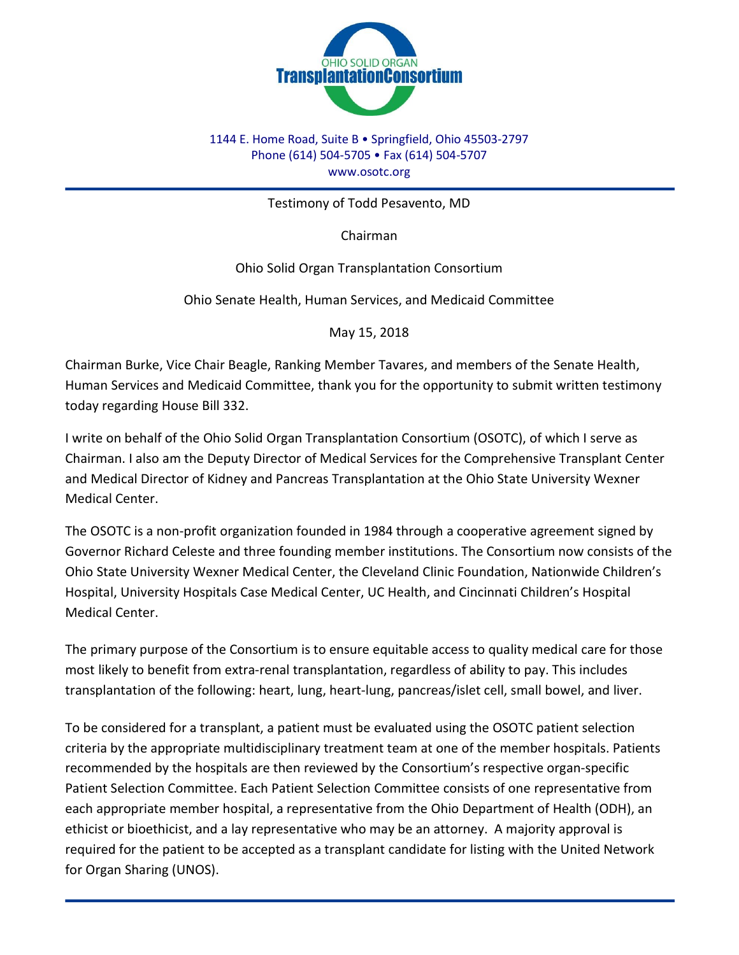

## 1144 E. Home Road, Suite B • Springfield, Ohio 45503-2797 Phone (614) 504-5705 • Fax (614) 504-5707 www.osotc.org

Testimony of Todd Pesavento, MD

Chairman

Ohio Solid Organ Transplantation Consortium

Ohio Senate Health, Human Services, and Medicaid Committee

May 15, 2018

Chairman Burke, Vice Chair Beagle, Ranking Member Tavares, and members of the Senate Health, Human Services and Medicaid Committee, thank you for the opportunity to submit written testimony today regarding House Bill 332.

I write on behalf of the Ohio Solid Organ Transplantation Consortium (OSOTC), of which I serve as Chairman. I also am the Deputy Director of Medical Services for the Comprehensive Transplant Center and Medical Director of Kidney and Pancreas Transplantation at the Ohio State University Wexner Medical Center.

The OSOTC is a non-profit organization founded in 1984 through a cooperative agreement signed by Governor Richard Celeste and three founding member institutions. The Consortium now consists of the Ohio State University Wexner Medical Center, the Cleveland Clinic Foundation, Nationwide Children's Hospital, University Hospitals Case Medical Center, UC Health, and Cincinnati Children's Hospital Medical Center.

The primary purpose of the Consortium is to ensure equitable access to quality medical care for those most likely to benefit from extra-renal transplantation, regardless of ability to pay. This includes transplantation of the following: heart, lung, heart-lung, pancreas/islet cell, small bowel, and liver.

To be considered for a transplant, a patient must be evaluated using the OSOTC patient selection criteria by the appropriate multidisciplinary treatment team at one of the member hospitals. Patients recommended by the hospitals are then reviewed by the Consortium's respective organ-specific Patient Selection Committee. Each Patient Selection Committee consists of one representative from each appropriate member hospital, a representative from the Ohio Department of Health (ODH), an ethicist or bioethicist, and a lay representative who may be an attorney. A majority approval is required for the patient to be accepted as a transplant candidate for listing with the United Network for Organ Sharing (UNOS).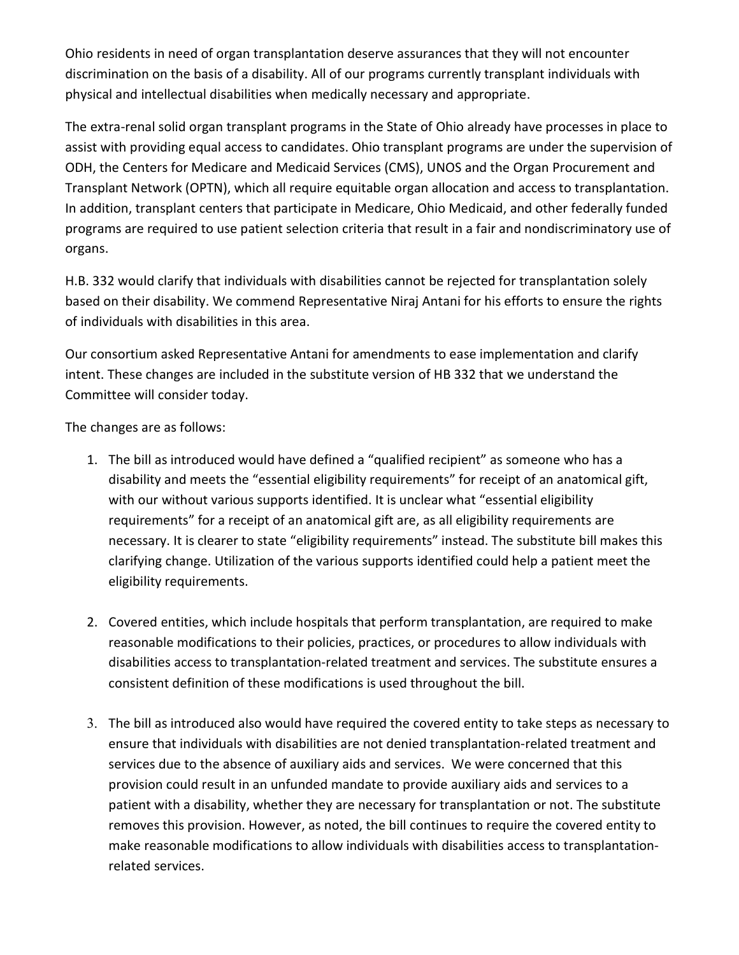Ohio residents in need of organ transplantation deserve assurances that they will not encounter discrimination on the basis of a disability. All of our programs currently transplant individuals with physical and intellectual disabilities when medically necessary and appropriate.

The extra-renal solid organ transplant programs in the State of Ohio already have processes in place to assist with providing equal access to candidates. Ohio transplant programs are under the supervision of ODH, the Centers for Medicare and Medicaid Services (CMS), UNOS and the Organ Procurement and Transplant Network (OPTN), which all require equitable organ allocation and access to transplantation. In addition, transplant centers that participate in Medicare, Ohio Medicaid, and other federally funded programs are required to use patient selection criteria that result in a fair and nondiscriminatory use of organs.

H.B. 332 would clarify that individuals with disabilities cannot be rejected for transplantation solely based on their disability. We commend Representative Niraj Antani for his efforts to ensure the rights of individuals with disabilities in this area.

Our consortium asked Representative Antani for amendments to ease implementation and clarify intent. These changes are included in the substitute version of HB 332 that we understand the Committee will consider today.

The changes are as follows:

- 1. The bill as introduced would have defined a "qualified recipient" as someone who has a disability and meets the "essential eligibility requirements" for receipt of an anatomical gift, with our without various supports identified. It is unclear what "essential eligibility requirements" for a receipt of an anatomical gift are, as all eligibility requirements are necessary. It is clearer to state "eligibility requirements" instead. The substitute bill makes this clarifying change. Utilization of the various supports identified could help a patient meet the eligibility requirements.
- 2. Covered entities, which include hospitals that perform transplantation, are required to make reasonable modifications to their policies, practices, or procedures to allow individuals with disabilities access to transplantation-related treatment and services. The substitute ensures a consistent definition of these modifications is used throughout the bill.
- 3. The bill as introduced also would have required the covered entity to take steps as necessary to ensure that individuals with disabilities are not denied transplantation-related treatment and services due to the absence of auxiliary aids and services. We were concerned that this provision could result in an unfunded mandate to provide auxiliary aids and services to a patient with a disability, whether they are necessary for transplantation or not. The substitute removes this provision. However, as noted, the bill continues to require the covered entity to make reasonable modifications to allow individuals with disabilities access to transplantationrelated services.